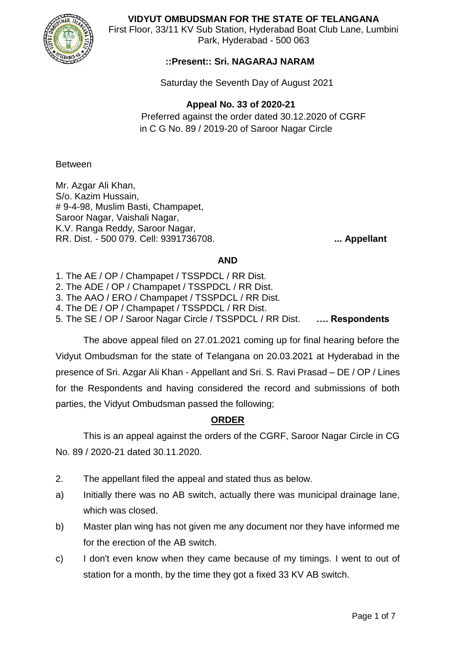

**VIDYUT OMBUDSMAN FOR THE STATE OF TELANGANA**

First Floor, 33/11 KV Sub Station, Hyderabad Boat Club Lane, Lumbini Park, Hyderabad - 500 063

## **::Present:: Sri. NAGARAJ NARAM**

Saturday the Seventh Day of August 2021

 **Appeal No. 33 of 2020-21**

Preferred against the order dated 30.12.2020 of CGRF in C G No. 89 / 2019-20 of Saroor Nagar Circle

Between

Mr. Azgar Ali Khan, S/o. Kazim Hussain, # 9-4-98, Muslim Basti, Champapet, Saroor Nagar, Vaishali Nagar, K.V. Ranga Reddy, Saroor Nagar, RR. Dist. - 500 079. Cell: 9391736708. **... Appellant**

#### **AND**

1. The AE / OP / Champapet / TSSPDCL / RR Dist.

2. The ADE / OP / Champapet / TSSPDCL / RR Dist.

3. The AAO / ERO / Champapet / TSSPDCL / RR Dist.

4. The DE / OP / Champapet / TSSPDCL / RR Dist.

5. The SE / OP / Saroor Nagar Circle / TSSPDCL / RR Dist. **…. Respondents**

The above appeal filed on 27.01.2021 coming up for final hearing before the Vidyut Ombudsman for the state of Telangana on 20.03.2021 at Hyderabad in the presence of Sri. Azgar Ali Khan - Appellant and Sri. S. Ravi Prasad – DE / OP / Lines for the Respondents and having considered the record and submissions of both parties, the Vidyut Ombudsman passed the following;

## **ORDER**

This is an appeal against the orders of the CGRF, Saroor Nagar Circle in CG No. 89 / 2020-21 dated 30.11.2020.

- 2. The appellant filed the appeal and stated thus as below.
- a) Initially there was no AB switch, actually there was municipal drainage lane, which was closed.
- b) Master plan wing has not given me any document nor they have informed me for the erection of the AB switch.
- c) I don't even know when they came because of my timings. I went to out of station for a month, by the time they got a fixed 33 KV AB switch.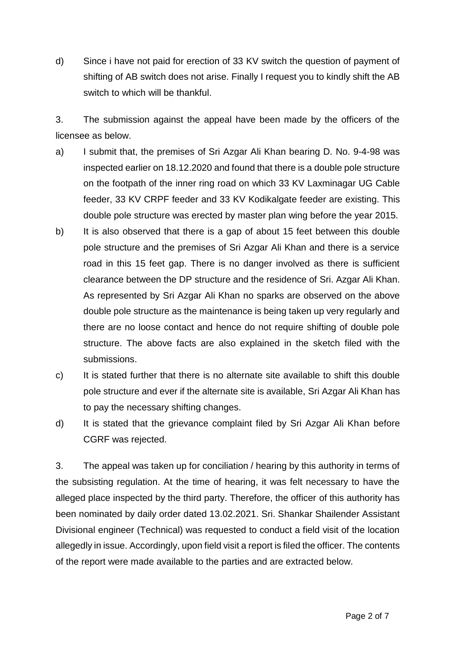d) Since i have not paid for erection of 33 KV switch the question of payment of shifting of AB switch does not arise. Finally I request you to kindly shift the AB switch to which will be thankful.

3. The submission against the appeal have been made by the officers of the licensee as below.

- a) I submit that, the premises of Sri Azgar Ali Khan bearing D. No. 9-4-98 was inspected earlier on 18.12.2020 and found that there is a double pole structure on the footpath of the inner ring road on which 33 KV Laxminagar UG Cable feeder, 33 KV CRPF feeder and 33 KV Kodikalgate feeder are existing. This double pole structure was erected by master plan wing before the year 2015.
- b) It is also observed that there is a gap of about 15 feet between this double pole structure and the premises of Sri Azgar Ali Khan and there is a service road in this 15 feet gap. There is no danger involved as there is sufficient clearance between the DP structure and the residence of Sri. Azgar Ali Khan. As represented by Sri Azgar Ali Khan no sparks are observed on the above double pole structure as the maintenance is being taken up very regularly and there are no loose contact and hence do not require shifting of double pole structure. The above facts are also explained in the sketch filed with the submissions.
- c) It is stated further that there is no alternate site available to shift this double pole structure and ever if the alternate site is available, Sri Azgar Ali Khan has to pay the necessary shifting changes.
- d) It is stated that the grievance complaint filed by Sri Azgar Ali Khan before CGRF was rejected.

3. The appeal was taken up for conciliation / hearing by this authority in terms of the subsisting regulation. At the time of hearing, it was felt necessary to have the alleged place inspected by the third party. Therefore, the officer of this authority has been nominated by daily order dated 13.02.2021. Sri. Shankar Shailender Assistant Divisional engineer (Technical) was requested to conduct a field visit of the location allegedly in issue. Accordingly, upon field visit a report is filed the officer. The contents of the report were made available to the parties and are extracted below.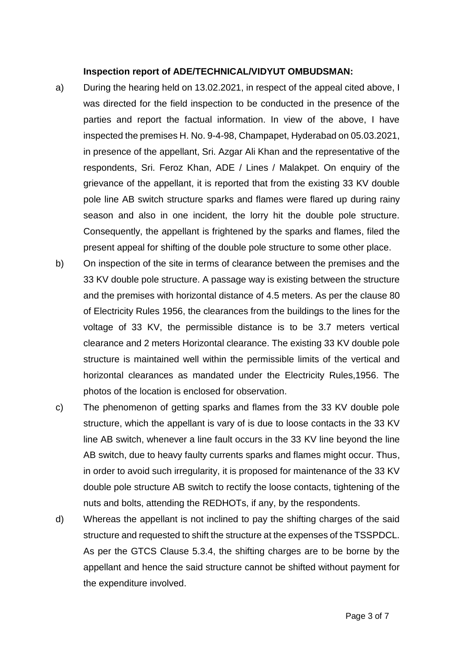#### **Inspection report of ADE/TECHNICAL/VIDYUT OMBUDSMAN:**

- a) During the hearing held on 13.02.2021, in respect of the appeal cited above, I was directed for the field inspection to be conducted in the presence of the parties and report the factual information. In view of the above, I have inspected the premises H. No. 9-4-98, Champapet, Hyderabad on 05.03.2021, in presence of the appellant, Sri. Azgar Ali Khan and the representative of the respondents, Sri. Feroz Khan, ADE / Lines / Malakpet. On enquiry of the grievance of the appellant, it is reported that from the existing 33 KV double pole line AB switch structure sparks and flames were flared up during rainy season and also in one incident, the lorry hit the double pole structure. Consequently, the appellant is frightened by the sparks and flames, filed the present appeal for shifting of the double pole structure to some other place.
- b) On inspection of the site in terms of clearance between the premises and the 33 KV double pole structure. A passage way is existing between the structure and the premises with horizontal distance of 4.5 meters. As per the clause 80 of Electricity Rules 1956, the clearances from the buildings to the lines for the voltage of 33 KV, the permissible distance is to be 3.7 meters vertical clearance and 2 meters Horizontal clearance. The existing 33 KV double pole structure is maintained well within the permissible limits of the vertical and horizontal clearances as mandated under the Electricity Rules,1956. The photos of the location is enclosed for observation.
- c) The phenomenon of getting sparks and flames from the 33 KV double pole structure, which the appellant is vary of is due to loose contacts in the 33 KV line AB switch, whenever a line fault occurs in the 33 KV line beyond the line AB switch, due to heavy faulty currents sparks and flames might occur. Thus, in order to avoid such irregularity, it is proposed for maintenance of the 33 KV double pole structure AB switch to rectify the loose contacts, tightening of the nuts and bolts, attending the REDHOTs, if any, by the respondents.
- d) Whereas the appellant is not inclined to pay the shifting charges of the said structure and requested to shift the structure at the expenses of the TSSPDCL. As per the GTCS Clause 5.3.4, the shifting charges are to be borne by the appellant and hence the said structure cannot be shifted without payment for the expenditure involved.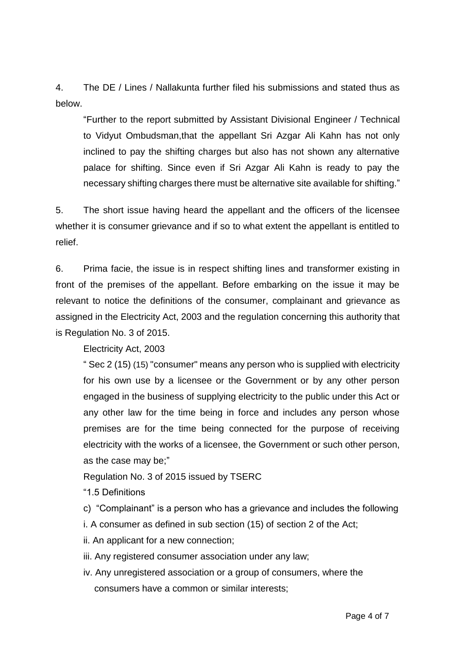4. The DE / Lines / Nallakunta further filed his submissions and stated thus as below.

"Further to the report submitted by Assistant Divisional Engineer / Technical to Vidyut Ombudsman,that the appellant Sri Azgar Ali Kahn has not only inclined to pay the shifting charges but also has not shown any alternative palace for shifting. Since even if Sri Azgar Ali Kahn is ready to pay the necessary shifting charges there must be alternative site available for shifting."

5. The short issue having heard the appellant and the officers of the licensee whether it is consumer grievance and if so to what extent the appellant is entitled to relief.

6. Prima facie, the issue is in respect shifting lines and transformer existing in front of the premises of the appellant. Before embarking on the issue it may be relevant to notice the definitions of the consumer, complainant and grievance as assigned in the Electricity Act, 2003 and the regulation concerning this authority that is Regulation No. 3 of 2015.

Electricity Act, 2003

" Sec 2 (15) (15) "consumer" means any person who is supplied with electricity for his own use by a licensee or the Government or by any other person engaged in the business of supplying electricity to the public under this Act or any other law for the time being in force and includes any person whose premises are for the time being connected for the purpose of receiving electricity with the works of a licensee, the Government or such other person, as the case may be;"

Regulation No. 3 of 2015 issued by TSERC

"1.5 Definitions

c) "Complainant" is a person who has a grievance and includes the following

i. A consumer as defined in sub section (15) of section 2 of the Act;

ii. An applicant for a new connection;

iii. Any registered consumer association under any law;

iv. Any unregistered association or a group of consumers, where the consumers have a common or similar interests;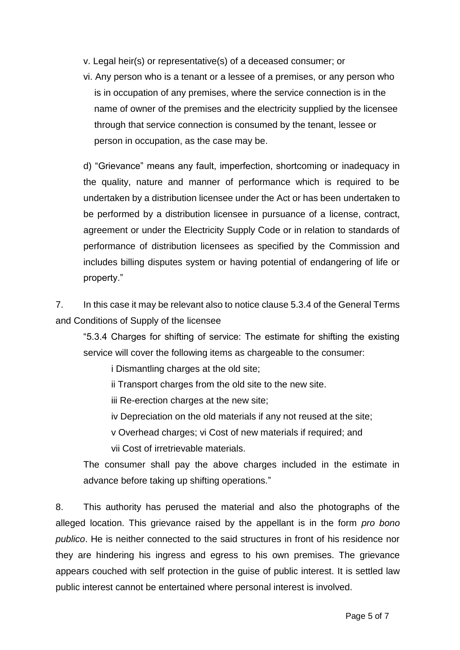- v. Legal heir(s) or representative(s) of a deceased consumer; or
- vi. Any person who is a tenant or a lessee of a premises, or any person who is in occupation of any premises, where the service connection is in the name of owner of the premises and the electricity supplied by the licensee through that service connection is consumed by the tenant, lessee or person in occupation, as the case may be.

d) "Grievance" means any fault, imperfection, shortcoming or inadequacy in the quality, nature and manner of performance which is required to be undertaken by a distribution licensee under the Act or has been undertaken to be performed by a distribution licensee in pursuance of a license, contract, agreement or under the Electricity Supply Code or in relation to standards of performance of distribution licensees as specified by the Commission and includes billing disputes system or having potential of endangering of life or property."

7. In this case it may be relevant also to notice clause 5.3.4 of the General Terms and Conditions of Supply of the licensee

"5.3.4 Charges for shifting of service: The estimate for shifting the existing service will cover the following items as chargeable to the consumer:

i Dismantling charges at the old site;

ii Transport charges from the old site to the new site.

iii Re-erection charges at the new site;

iv Depreciation on the old materials if any not reused at the site;

v Overhead charges; vi Cost of new materials if required; and

vii Cost of irretrievable materials.

The consumer shall pay the above charges included in the estimate in advance before taking up shifting operations."

8. This authority has perused the material and also the photographs of the alleged location. This grievance raised by the appellant is in the form *pro bono publico*. He is neither connected to the said structures in front of his residence nor they are hindering his ingress and egress to his own premises. The grievance appears couched with self protection in the guise of public interest. It is settled law public interest cannot be entertained where personal interest is involved.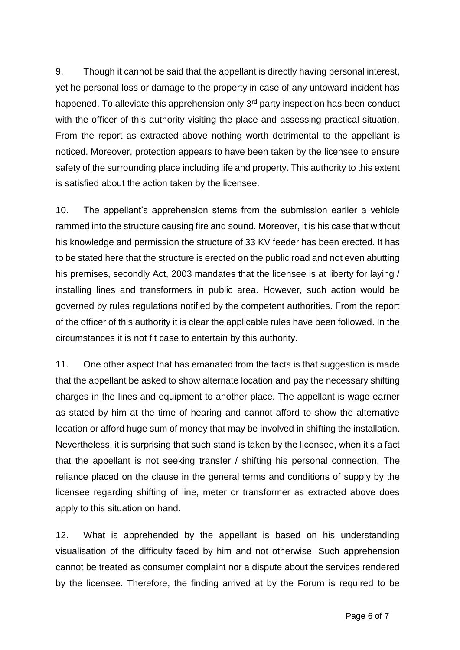9. Though it cannot be said that the appellant is directly having personal interest, yet he personal loss or damage to the property in case of any untoward incident has happened. To alleviate this apprehension only  $3<sup>rd</sup>$  party inspection has been conduct with the officer of this authority visiting the place and assessing practical situation. From the report as extracted above nothing worth detrimental to the appellant is noticed. Moreover, protection appears to have been taken by the licensee to ensure safety of the surrounding place including life and property. This authority to this extent is satisfied about the action taken by the licensee.

10. The appellant's apprehension stems from the submission earlier a vehicle rammed into the structure causing fire and sound. Moreover, it is his case that without his knowledge and permission the structure of 33 KV feeder has been erected. It has to be stated here that the structure is erected on the public road and not even abutting his premises, secondly Act, 2003 mandates that the licensee is at liberty for laying / installing lines and transformers in public area. However, such action would be governed by rules regulations notified by the competent authorities. From the report of the officer of this authority it is clear the applicable rules have been followed. In the circumstances it is not fit case to entertain by this authority.

11. One other aspect that has emanated from the facts is that suggestion is made that the appellant be asked to show alternate location and pay the necessary shifting charges in the lines and equipment to another place. The appellant is wage earner as stated by him at the time of hearing and cannot afford to show the alternative location or afford huge sum of money that may be involved in shifting the installation. Nevertheless, it is surprising that such stand is taken by the licensee, when it's a fact that the appellant is not seeking transfer / shifting his personal connection. The reliance placed on the clause in the general terms and conditions of supply by the licensee regarding shifting of line, meter or transformer as extracted above does apply to this situation on hand.

12. What is apprehended by the appellant is based on his understanding visualisation of the difficulty faced by him and not otherwise. Such apprehension cannot be treated as consumer complaint nor a dispute about the services rendered by the licensee. Therefore, the finding arrived at by the Forum is required to be